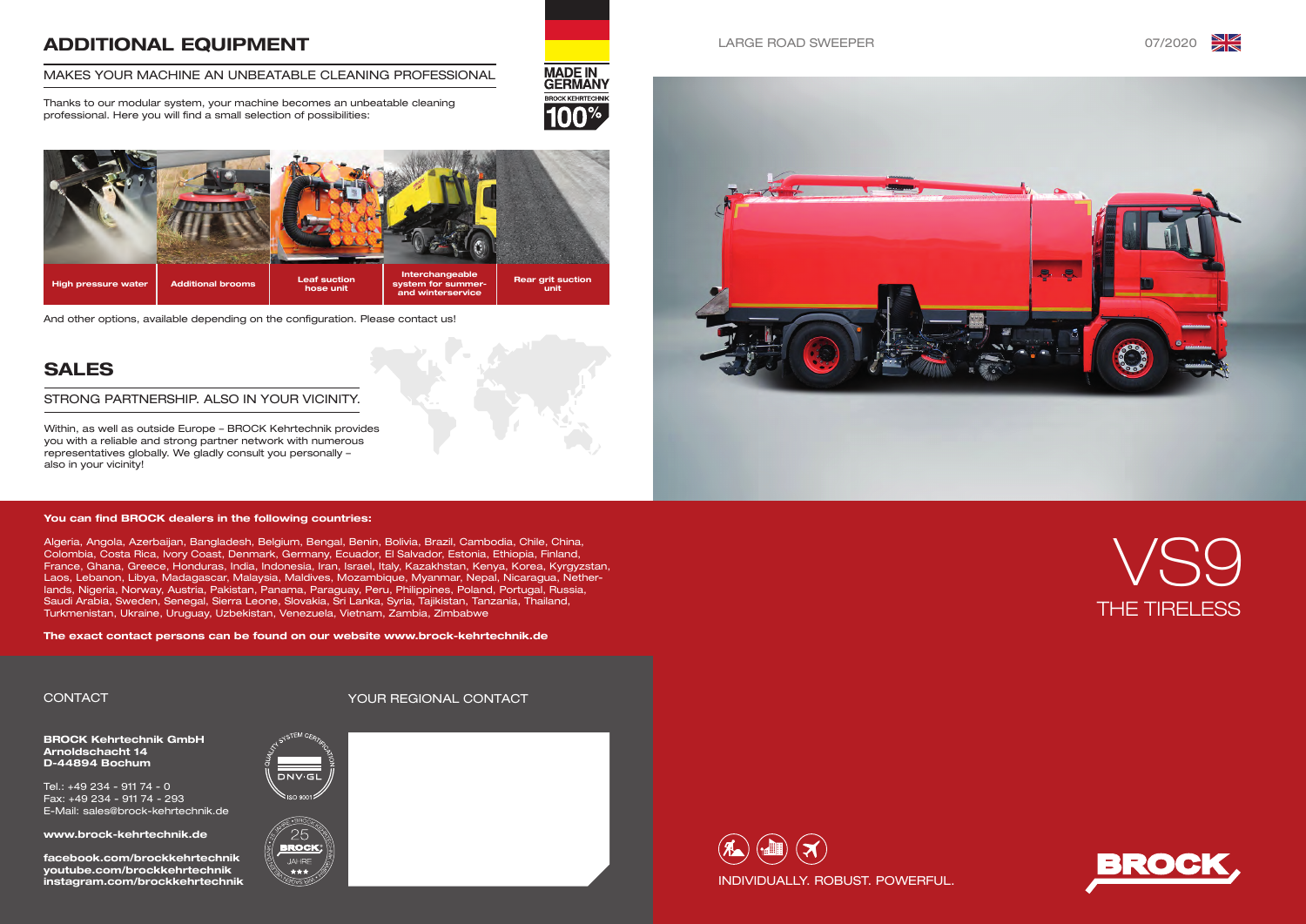





### LARGE ROAD SWEEPER 07/2020





BROCK Kehrtechnik GmbH Arnoldschacht 14 D-44894 Bochum

Tel.: +49 234 - 911 74 - 0 Fax: +49 234 - 911 74 - 293 E-Mail: sales@brock-kehrtechnik.de

www.brock-kehrtechnik.de

facebook.com/brockkehrtechnik youtube.com/brockkehrtechnik instagram.com/brockkehrtechnik





\*\*\*



# ADDITIONAL EQUIPMENT

#### MAKES YOUR MACHINE AN UNBEATABLE CLEANING PROFESSIONAL

Thanks to our modular system, your machine becomes an unbeatable cleaning professional. Here you will find a small selection of possibilities:



# SALES

Within, as well as outside Europe – BROCK Kehrtechnik provides you with a reliable and strong partner network with numerous representatives globally. We gladly consult you personally – also in your vicinity!

#### STRONG PARTNERSHIP. ALSO IN YOUR VICINITY.







And other options, available depending on the configuration. Please contact us!

#### You can find BROCK dealers in the following countries:

Algeria, Angola, Azerbaijan, Bangladesh, Belgium, Bengal, Benin, Bolivia, Brazil, Cambodia, Chile, China, Colombia, Costa Rica, Ivory Coast, Denmark, Germany, Ecuador, El Salvador, Estonia, Ethiopia, Finland, France, Ghana, Greece, Honduras, India, Indonesia, Iran, Israel, Italy, Kazakhstan, Kenya, Korea, Kyrgyzstan, Laos, Lebanon, Libya, Madagascar, Malaysia, Maldives, Mozambique, Myanmar, Nepal, Nicaragua, Netherlands, Nigeria, Norway, Austria, Pakistan, Panama, Paraguay, Peru, Philippines, Poland, Portugal, Russia, Saudi Arabia, Sweden, Senegal, Sierra Leone, Slovakia, Sri Lanka, Syria, Tajikistan, Tanzania, Thailand, Turkmenistan, Ukraine, Uruguay, Uzbekistan, Venezuela, Vietnam, Zambia, Zimbabwe

The exact contact persons can be found on our website www.brock-kehrtechnik.de